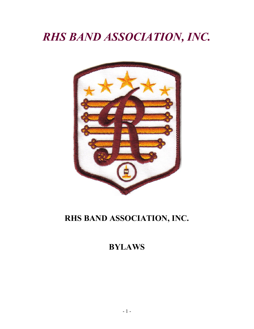# *RHS BAND ASSOCIATION, INC.*



# **RHS BAND ASSOCIATION, INC.**

# **BYLAWS**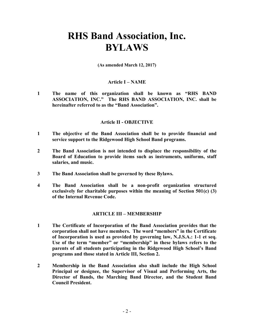# **RHS Band Association, Inc. BYLAWS**

**(As amended March 12, 2017)**

#### **Article I – NAME**

**1 The name of this organization shall be known as "RHS BAND ASSOCIATION, INC." The RHS BAND ASSOCIATION, INC. shall be hereinafter referred to as the "Band Association".**

#### **Article II - OBJECTIVE**

- **1 The objective of the Band Association shall be to provide financial and service support to the Ridgewood High School Band programs.**
- **2 The Band Association is not intended to displace the responsibility of the Board of Education to provide items such as instruments, uniforms, staff salaries, and music.**
- **3 The Band Association shall be governed by these Bylaws.**
- **4 The Band Association shall be a non-profit organization structured exclusively for charitable purposes within the meaning of Section 501(c) (3) of the Internal Revenue Code.**

### **ARTICLE III – MEMBERSHIP**

- **1 The Certificate of Incorporation of the Band Association provides that the corporation shall not have members. The word "members" in the Certificate of Incorporation is used as provided by governing law, N.J.S.A.: 1-1 et seq. Use of the term "member" or "membership" in these bylaws refers to the parents of all students participating in the Ridgewood High School's Band programs and those stated in Article III, Section 2.**
- **2 Membership in the Band Association also shall include the High School Principal or designee, the Supervisor of Visual and Performing Arts, the Director of Bands, the Marching Band Director, and the Student Band Council President.**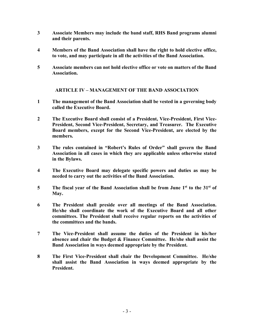- **3 Associate Members may include the band staff, RHS Band programs alumni and their parents.**
- **4 Members of the Band Association shall have the right to hold elective office, to vote, and may participate in all the activities of the Band Association.**
- **5 Associate members can not hold elective office or vote on matters of the Band Association.**

**ARTICLE IV – MANAGEMENT OF THE BAND ASSOCIATION**

- **1 The management of the Band Association shall be vested in a governing body called the Executive Board.**
- **2 The Executive Board shall consist of a President, Vice-President, First Vice-President, Second Vice-President, Secretary, and Treasurer. The Executive Board members, except for the Second Vice-President, are elected by the members.**
- **3 The rules contained in "Robert's Rules of Order" shall govern the Band Association in all cases in which they are applicable unless otherwise stated in the Bylaws.**
- **4 The Executive Board may delegate specific powers and duties as may be needed to carry out the activities of the Band Association.**
- 5 The fiscal year of the Band Association shall be from June 1<sup>st</sup> to the 31<sup>st</sup> of **May.**
- **6 The President shall preside over all meetings of the Band Association. He/she shall coordinate the work of the Executive Board and all other committees. The President shall receive regular reports on the activities of the committees and the bands.**
- **7 The Vice-President shall assume the duties of the President in his/her absence and chair the Budget & Finance Committee. He/she shall assist the Band Association in ways deemed appropriate by the President.**
- **8 The First Vice-President shall chair the Development Committee. He/she shall assist the Band Association in ways deemed appropriate by the President.**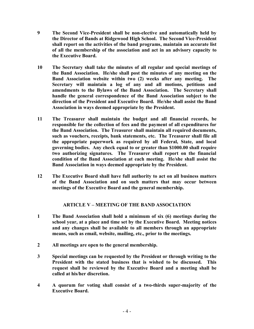- **9 The Second Vice-President shall be non-elective and automatically held by the Director of Bands at Ridgewood High School. The Second Vice-President shall report on the activities of the band programs, maintain an accurate list of all the membership of the association and act in an advisory capacity to the Executive Board.**
- **10 The Secretary shall take the minutes of all regular and special meetings of the Band Association. He/she shall post the minutes of any meeting on the Band Association website within two (2) weeks after any meeting. The Secretary will maintain a log of any and all motions, petitions and amendments to the Bylaws of the Band Association. The Secretary shall handle the general correspondence of the Band Association subject to the direction of the President and Executive Board. He/she shall assist the Band Association in ways deemed appropriate by the President.**
- **11 The Treasurer shall maintain the budget and all financial records, be responsible for the collection of fees and the payment of all expenditures for the Band Association. The Treasurer shall maintain all required documents, such as vouchers, receipts, bank statements, etc. The Treasurer shall file all the appropriate paperwork as required by all Federal, State, and local governing bodies. Any check equal to or greater than \$1000.00 shall require two authorizing signatures. The Treasurer shall report on the financial condition of the Band Association at each meeting. He/she shall assist the Band Association in ways deemed appropriate by the President.**
- **12 The Executive Board shall have full authority to act on all business matters of the Band Association and on such matters that may occur between meetings of the Executive Board and the general membership.**

## **ARTICLE V – MEETING OF THE BAND ASSOCIATION**

- **1 The Band Association shall hold a minimum of six (6) meetings during the school year, at a place and time set by the Executive Board. Meeting notices and any changes shall be available to all members through an appropriate means, such as email, website, mailing, etc., prior to the meetings.**
- **2 All meetings are open to the general membership.**
- **3 Special meetings can be requested by the President or through writing to the President with the stated business that is wished to be discussed. This request shall be reviewed by the Executive Board and a meeting shall be called at his/her discretion.**
- **4 A quorum for voting shall consist of a two-thirds super-majority of the Executive Board.**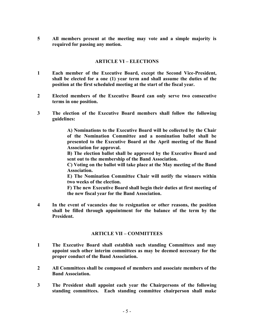**5 All members present at the meeting may vote and a simple majority is required for passing any motion.**

#### **ARTICLE VI – ELECTIONS**

- **1 Each member of the Executive Board, except the Second Vice-President, shall be elected for a one (1) year term and shall assume the duties of the position at the first scheduled meeting at the start of the fiscal year.**
- **2 Elected members of the Executive Board can only serve two consecutive terms in one position.**
- **3 The election of the Executive Board members shall follow the following guidelines:**

**A) Nominations to the Executive Board will be collected by the Chair of the Nomination Committee and a nomination ballot shall be presented to the Executive Board at the April meeting of the Band Association for approval.**

**B) The election ballot shall be approved by the Executive Board and sent out to the membership of the Band Association.**

**C) Voting on the ballot will take place at the May meeting of the Band Association.**

**E) The Nomination Committee Chair will notify the winners within two weeks of the election.**

**F) The new Executive Board shall begin their duties at first meeting of the new fiscal year for the Band Association.**

**4 In the event of vacancies due to resignation or other reasons, the position shall be filled through appointment for the balance of the term by the President.**

#### **ARTICLE VII – COMMITTEES**

- **1 The Executive Board shall establish such standing Committees and may appoint such other interim committees as may be deemed necessary for the proper conduct of the Band Association.**
- **2 All Committees shall be composed of members and associate members of the Band Association.**
- **3 The President shall appoint each year the Chairpersons of the following standing committees. Each standing committee chairperson shall make**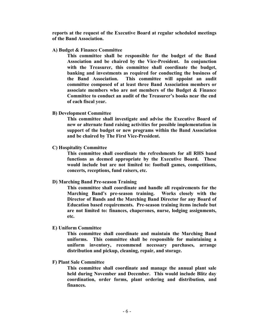**reports at the request of the Executive Board at regular scheduled meetings of the Band Association.**

#### **A) Budget & Finance Committee**

**This committee shall be responsible for the budget of the Band Association and be chaired by the Vice-President. In conjunction with the Treasurer, this committee shall coordinate the budget, banking and investments as required for conducting the business of the Band Association. This committee will appoint an audit committee composed of at least three Band Association members or associate members who are not members of the Budget & Finance Committee to conduct an audit of the Treasurer's books near the end of each fiscal year.**

**B) Development Committee**

**This committee shall investigate and advise the Executive Board of new or alternate fund raising activities for possible implementation in support of the budget or new programs within the Band Association and be chaired by The First Vice-President.**

**C) Hospitality Committee**

**This committee shall coordinate the refreshments for all RHS band functions as deemed appropriate by the Executive Board. These would include but are not limited to: football games, competitions, concerts, receptions, fund raisers, etc.**

#### **D) Marching Band Pre-season Training**

**This committee shall coordinate and handle all requirements for the Marching Band's pre-season training. Works closely with the Director of Bands and the Marching Band Director for any Board of Education based requirements. Pre-season training items include but are not limited to: finances, chaperones, nurse, lodging assignments, etc.**

#### **E) Uniform Committee**

**This committee shall coordinate and maintain the Marching Band uniforms. This committee shall be responsible for maintaining a uniform inventory, recommend necessary purchases, arrange distribution and pickup, cleaning, repair, and storage.**

**F) Plant Sale Committee**

**This committee shall coordinate and manage the annual plant sale held during November and December. This would include Blitz day coordination, order forms, plant ordering and distribution, and finances.**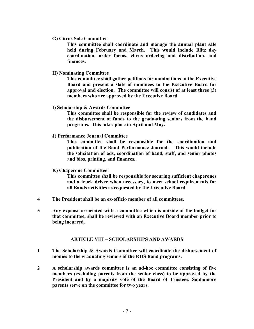**G) Citrus Sale Committee**

**This committee shall coordinate and manage the annual plant sale held during February and March. This would include Blitz day coordination, order forms, citrus ordering and distribution, and finances.**

**H) Nominating Committee**

**This committee shall gather petitions for nominations to the Executive Board and present a slate of nominees to the Executive Board for approval and election. The committee will consist of at least three (3) members who are approved by the Executive Board.**

**I) Scholarship & Awards Committee**

**This committee shall be responsible for the review of candidates and the disbursement of funds to the graduating seniors from the band programs. This takes place in April and May.**

**J) Performance Journal Committee**

**This committee shall be responsible for the coordination and publication of the Band Performance Journal. This would include the solicitation of ads, coordination of band, staff, and senior photos and bios, printing, and finances.**

#### **K) Chaperone Committee**

**This committee shall be responsible for securing sufficient chaperones and a truck driver when necessary, to meet school requirements for all Bands activities as requested by the Executive Board.**

- **4 The President shall be an ex-officio member of all committees.**
- **5 Any expense associated with a committee which is outside of the budget for that committee, shall be reviewed with an Executive Board member prior to being incurred.**

#### **ARTICLE VIII – SCHOLARSHIPS AND AWARDS**

- **1 The Scholarship & Awards Committee will coordinate the disbursement of monies to the graduating seniors of the RHS Band programs.**
- **2 A scholarship awards committee is an ad-hoc committee consisting of five members (excluding parents from the senior class) to be approved by the President and by a majority vote of the Board of Trustees. Sophomore parents serve on the committee for two years.**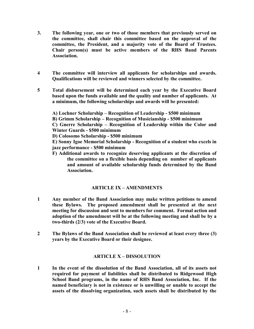- **3. The following year, one or two of those members that previously served on the committee, shall chair this committee based on the approval of the committee, the President, and a majority vote of the Board of Trustees. Chair person(s) must be active members of the RHS Band Parents Association.**
- **4 The committee will interview all applicants for scholarships and awards. Qualifications will be reviewed and winners selected by the committee.**
- **5 Total disbursement will be determined each year by the Executive Board based upon the funds available and the quality and number of applicants. At a minimum, the following scholarships and awards will be presented:**

**A) Lochner Scholarship – Recognition of Leadership - \$500 minimum B) Grimm Scholarship – Recognition of Musicianship - \$500 minimum C) Gnerre Scholarship – Recognition of Leadership within the Color and Winter Guards - \$500 minimum D) Colosomo Scholarship - \$500 minimum**

**E) Sonny Igoe Memorial Scholarship - Recognition of a student who excels in jazz performance - \$500 minimum**

**F) Additional awards to recognize deserving applicants at the discretion of the committee on a flexible basis depending on number of applicants and amount of available scholarship funds determined by the Band Association.**

## **ARTICLE IX – AMENDMENTS**

- **1 Any member of the Band Association may make written petitions to amend these Bylaws. The proposed amendment shall be presented at the next meeting for discussion and sent to members for comment. Formal action and adoption of the amendment will be at the following meeting and shall be by a two-thirds (2/3) vote of the Executive Board.**
- **2 The Bylaws of the Band Association shall be reviewed at least every three (3) years by the Executive Board or their designee.**

## **ARTICLE X – DISSOLUTION**

**1 In the event of the dissolution of the Band Association, all of its assets not required for payment of liabilities shall be distributed to Ridgewood High School Band programs, in the name of RHS Band Association, Inc. If the named beneficiary is not in existence or is unwilling or unable to accept the assets of the dissolving organization, such assets shall be distributed by the**